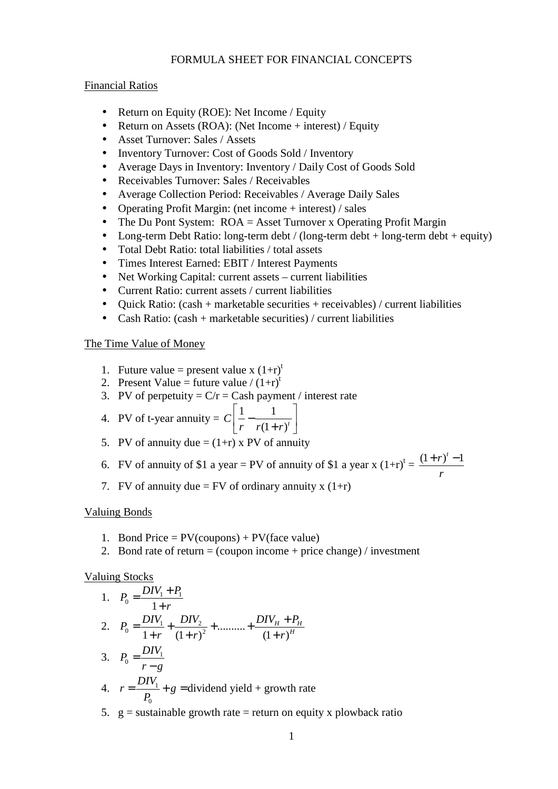# FORMULA SHEET FOR FINANCIAL CONCEPTS

#### Financial Ratios

- Return on Equity (ROE): Net Income / Equity
- Return on Assets (ROA): (Net Income + interest) / Equity
- Asset Turnover: Sales / Assets
- Inventory Turnover: Cost of Goods Sold / Inventory
- Average Days in Inventory: Inventory / Daily Cost of Goods Sold
- Receivables Turnover: Sales / Receivables
- Average Collection Period: Receivables / Average Daily Sales
- Operating Profit Margin: (net income + interest) / sales
- The Du Pont System: ROA = Asset Turnover x Operating Profit Margin
- Long-term Debt Ratio: long-term debt / (long-term debt + long-term debt + equity)
- Total Debt Ratio: total liabilities / total assets
- Times Interest Earned: EBIT / Interest Payments
- Net Working Capital: current assets current liabilities
- Current Ratio: current assets / current liabilities
- Ouick Ratio:  $(cash + marketable securities + receivables) / current liabilities$
- Cash Ratio:  $(cash + marketable securities) / current liabilities$

### The Time Value of Money

- 1. Future value = present value x  $(1+r)^t$
- 2. Present Value = future value /  $(1+r)^t$
- 3. PV of perpetuity =  $C/r =$ Cash payment / interest rate
- 4. PV of t-year annuity =  $C\left| \frac{1}{1-\frac{1}{x}} \right|$  $C\left|\frac{1}{r} - \frac{1}{r(1+r)^{t}}\right|$  $\begin{bmatrix} 1 & 1 \end{bmatrix}$  $\left[\frac{1}{r} - \frac{1}{r(1+r)^t}\right]$
- 5. PV of annuity due  $=(1+r)$  x PV of annuity
- 6. FV of annuity of \$1 a year = PV of annuity of \$1 a year x  $(1+r)^t = \frac{(1+r)^t 1}{t^t}$ *r*  $+r)^t$  –
- 7. FV of annuity due = FV of ordinary annuity x  $(1+r)$

### Valuing Bonds

- 1. Bond Price =  $PV$ (coupons) +  $PV$ (face value)
- 2. Bond rate of return  $=$  (coupon income  $+$  price change) / investment

### Valuing Stocks

1. 
$$
P_0 = \frac{DIV_1 + P_1}{1 + r}
$$
  
\n2.  $P_0 = \frac{DIV_1}{1 + r} + \frac{DIV_2}{(1 + r)^2} + \dots + \frac{DIV_H + P_H}{(1 + r)^H}$   
\n3.  $P_0 = \frac{DIV_1}{r - g}$   
\n4.  $r = \frac{DIV_1}{P_0} + g = \text{dividend yield} + \text{growth rate}$ 

5.  $g =$  sustainable growth rate = return on equity x plowback ratio